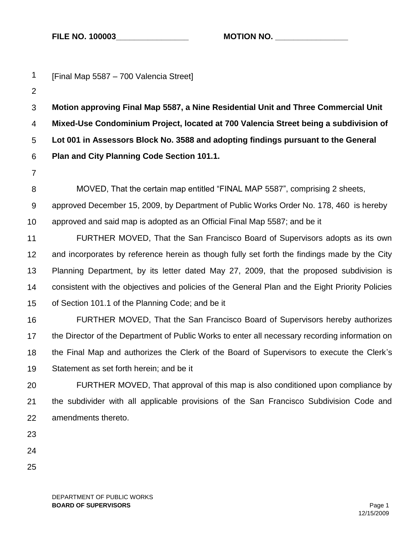**FILE NO. 100003\_\_\_\_\_\_\_\_\_\_\_\_\_\_\_\_ MOTION NO. \_\_\_\_\_\_\_\_\_\_\_\_\_\_\_\_**

| $\mathbf{1}$   | [Final Map 5587 - 700 Valencia Street]                                                          |  |  |  |
|----------------|-------------------------------------------------------------------------------------------------|--|--|--|
| $\overline{2}$ |                                                                                                 |  |  |  |
| $\sqrt{3}$     | Motion approving Final Map 5587, a Nine Residential Unit and Three Commercial Unit              |  |  |  |
| 4              | Mixed-Use Condominium Project, located at 700 Valencia Street being a subdivision of            |  |  |  |
| 5              | Lot 001 in Assessors Block No. 3588 and adopting findings pursuant to the General               |  |  |  |
| 6              | Plan and City Planning Code Section 101.1.                                                      |  |  |  |
| $\overline{7}$ |                                                                                                 |  |  |  |
| 8              | MOVED, That the certain map entitled "FINAL MAP 5587", comprising 2 sheets,                     |  |  |  |
| 9              | approved December 15, 2009, by Department of Public Works Order No. 178, 460 is hereby          |  |  |  |
| 10             | approved and said map is adopted as an Official Final Map 5587; and be it                       |  |  |  |
| 11             | FURTHER MOVED, That the San Francisco Board of Supervisors adopts as its own                    |  |  |  |
| 12             | and incorporates by reference herein as though fully set forth the findings made by the City    |  |  |  |
| 13             | Planning Department, by its letter dated May 27, 2009, that the proposed subdivision is         |  |  |  |
| 14             | consistent with the objectives and policies of the General Plan and the Eight Priority Policies |  |  |  |
| 15             | of Section 101.1 of the Planning Code; and be it                                                |  |  |  |
| 16             | FURTHER MOVED, That the San Francisco Board of Supervisors hereby authorizes                    |  |  |  |
| 17             | the Director of the Department of Public Works to enter all necessary recording information on  |  |  |  |
| 18             | the Final Map and authorizes the Clerk of the Board of Supervisors to execute the Clerk's       |  |  |  |
| 19             | Statement as set forth herein; and be it                                                        |  |  |  |
| 20             | FURTHER MOVED, That approval of this map is also conditioned upon compliance by                 |  |  |  |
| 21             | the subdivider with all applicable provisions of the San Francisco Subdivision Code and         |  |  |  |
| 22             | amendments thereto.                                                                             |  |  |  |
| 23             |                                                                                                 |  |  |  |
| 24             |                                                                                                 |  |  |  |
| 25             |                                                                                                 |  |  |  |
|                |                                                                                                 |  |  |  |